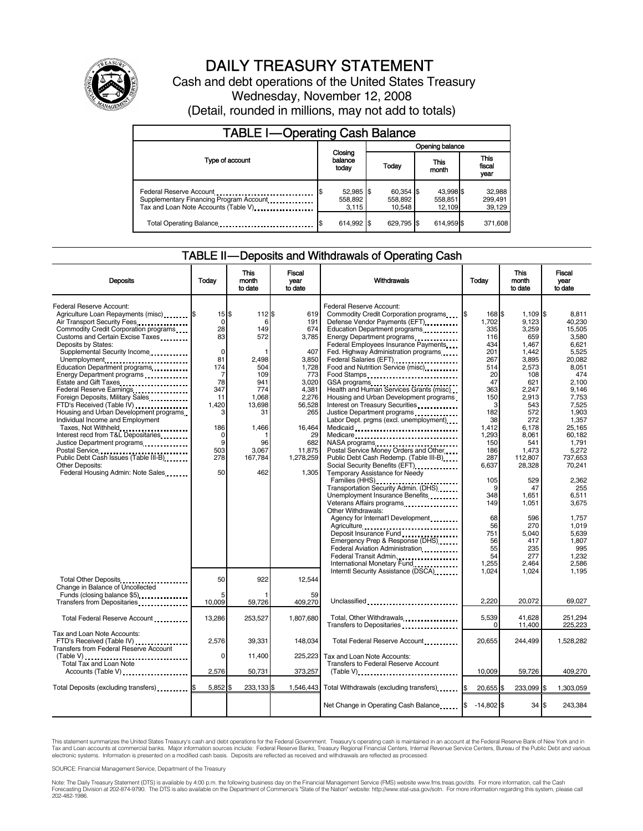

# DAILY TREASURY STATEMENT

Cash and debt operations of the United States Treasury Wednesday, November 12, 2008 (Detail, rounded in millions, may not add to totals)

| <b>TABLE I-Operating Cash Balance</b>                                                                      |                                 |                                |                                |                               |  |
|------------------------------------------------------------------------------------------------------------|---------------------------------|--------------------------------|--------------------------------|-------------------------------|--|
|                                                                                                            |                                 | Opening balance                |                                |                               |  |
| Type of account                                                                                            | Closing<br>balance<br>today     | Today                          | This<br>month                  | <b>This</b><br>fiscal<br>year |  |
| Federal Reserve Account<br>Supplementary Financing Program Account<br>Tax and Loan Note Accounts (Table V) | $52,985$ \$<br>558,892<br>3.115 | 60,354 \$<br>558,892<br>10.548 | 43,998 \$<br>558,851<br>12.109 | 32,988<br>299,491<br>39,129   |  |
| Total Operating Balance                                                                                    | 614,992 \$                      | 629.795 \$                     | 614.959 \$                     | 371,608                       |  |

#### TABLE II — Deposits and Withdrawals of Operating Cash

| <b>Deposits</b>                                                                                                                                                                                                                                                                                                                                                                                                                                                                                                                                                                                                                                                                                                                                | Todav                                                                                                                                  | This<br>month<br>to date                                                                                                          | Fiscal<br>vear<br>to date                                                                                                                                     | Withdrawals                                                                                                                                                                                                                                                                                                                                                                                                                                                                                                                                                                                                                                                                                                                                                                                                                                                                                                  | Today                                                                                                                                                        | <b>This</b><br>month<br>to date                                                                                                                                                            | Fiscal<br>year<br>to date                                                                                                                                                                                |
|------------------------------------------------------------------------------------------------------------------------------------------------------------------------------------------------------------------------------------------------------------------------------------------------------------------------------------------------------------------------------------------------------------------------------------------------------------------------------------------------------------------------------------------------------------------------------------------------------------------------------------------------------------------------------------------------------------------------------------------------|----------------------------------------------------------------------------------------------------------------------------------------|-----------------------------------------------------------------------------------------------------------------------------------|---------------------------------------------------------------------------------------------------------------------------------------------------------------|--------------------------------------------------------------------------------------------------------------------------------------------------------------------------------------------------------------------------------------------------------------------------------------------------------------------------------------------------------------------------------------------------------------------------------------------------------------------------------------------------------------------------------------------------------------------------------------------------------------------------------------------------------------------------------------------------------------------------------------------------------------------------------------------------------------------------------------------------------------------------------------------------------------|--------------------------------------------------------------------------------------------------------------------------------------------------------------|--------------------------------------------------------------------------------------------------------------------------------------------------------------------------------------------|----------------------------------------------------------------------------------------------------------------------------------------------------------------------------------------------------------|
| Federal Reserve Account:<br>Agriculture Loan Repayments (misc) <b>\$</b><br>Air Transport Security Fees<br>Commodity Credit Corporation programs<br>Customs and Certain Excise Taxes<br>Deposits by States:<br>Supplemental Security Income<br>Unemployment<br>Education Department programs<br>Energy Department programs<br>Estate and Gift Taxes<br>Federal Reserve Earnings<br>Foreign Deposits, Military Sales<br>FTD's Received (Table IV)<br>Housing and Urban Development programs<br>Individual Income and Employment<br>Taxes, Not Withheld<br>Interest recd from T&L Depositaries<br>Justice Department programs<br>Postal Service<br>Public Debt Cash Issues (Table III-B)<br>Other Deposits:<br>Federal Housing Admin: Note Sales | $15$ \$<br>$\mathbf 0$<br>28<br>83<br>$\Omega$<br>81<br>174<br>7<br>78<br>347<br>11<br>1,420<br>3<br>186<br>0<br>9<br>503<br>278<br>50 | 112 \$<br>6<br>149<br>572<br>2,498<br>504<br>109<br>941<br>774<br>1.068<br>13,698<br>31<br>1,466<br>96<br>3.067<br>167,784<br>462 | 619<br>191<br>674<br>3,785<br>407<br>3,850<br>1.728<br>773<br>3,020<br>4.381<br>2.276<br>56,528<br>265<br>16,464<br>29<br>682<br>11,875<br>1,278,259<br>1,305 | Federal Reserve Account:<br>Commodity Credit Corporation programs<br>Defense Vendor Payments (EFT)<br>Education Department programs<br>Energy Department programs<br>Federal Employees Insurance Payments<br>Fed. Highway Administration programs<br>Federal Salaries (EFT)<br>1991 - Production Contract Contract Contract Contract Contract Contract Contract Contract Contract Contract Contract Contract Contract Contract Contract Contract Contract Contract Contract Contract<br>Food and Nutrition Service (misc)<br>Food Stamps<br>GSA programs<br>Health and Human Services Grants (misc)<br>Housing and Urban Development programs<br>Interest on Treasury Securities<br>Justice Department programs<br>Labor Dept. prgms (excl. unemployment)<br>Medicare<br>Postal Service Money Orders and Other<br>Public Debt Cash Redemp. (Table III-B)<br>Temporary Assistance for Needy<br>Families (HHS) | 168 \$<br>1,702<br>335<br>116<br>434<br>201<br>267<br>514<br>20<br>47<br>363<br>150<br>3<br>182<br>38<br>1,412<br>1,293<br>150<br>186<br>287<br>6,637<br>105 | $1,109$ \$<br>9,123<br>3,259<br>659<br>1,467<br>1.442<br>3,895<br>2,573<br>108<br>621<br>2.247<br>2.913<br>543<br>572<br>272<br>6,178<br>8,061<br>541<br>1,473<br>112,807<br>28,328<br>529 | 8,811<br>40.230<br>15.505<br>3.580<br>6.621<br>5.525<br>20.082<br>8.051<br>474<br>2.100<br>9.146<br>7.753<br>7,525<br>1,903<br>1,357<br>25,165<br>60.182<br>1,791<br>5.272<br>737.653<br>70,241<br>2,362 |
|                                                                                                                                                                                                                                                                                                                                                                                                                                                                                                                                                                                                                                                                                                                                                |                                                                                                                                        |                                                                                                                                   |                                                                                                                                                               | Transportation Security Admin. (DHS)<br>Unemployment Insurance Benefits<br>Other Withdrawals:<br>Agency for Internat'l Development<br>Agriculture<br>Deposit Insurance Fund<br>Emergency Prep & Response (DHS)<br>Federal Aviation Administration.<br>Federal Transit Admin<br>International Monetary Fund                                                                                                                                                                                                                                                                                                                                                                                                                                                                                                                                                                                                   | 9<br>348<br>149<br>68<br>56<br>751<br>56<br>55<br>54<br>1,255                                                                                                | 47<br>1,651<br>1,051<br>596<br>270<br>5,040<br>417<br>235<br>277<br>2,464                                                                                                                  | 255<br>6,511<br>3.675<br>1,757<br>1.019<br>5,639<br>1.807<br>995<br>1.232<br>2.586                                                                                                                       |
| Total Other Deposits<br>Change in Balance of Uncollected<br>Funds (closing balance \$5)<br>Transfers from Depositaries                                                                                                                                                                                                                                                                                                                                                                                                                                                                                                                                                                                                                         | 50<br>5<br>10,009                                                                                                                      | 922<br>59,726                                                                                                                     | 12,544<br>59<br>409,270                                                                                                                                       | Interntl Security Assistance (DSCA)<br>Unclassified                                                                                                                                                                                                                                                                                                                                                                                                                                                                                                                                                                                                                                                                                                                                                                                                                                                          | 1,024<br>2.220                                                                                                                                               | 1,024<br>20,072                                                                                                                                                                            | 1,195<br>69,027                                                                                                                                                                                          |
| Total Federal Reserve Account                                                                                                                                                                                                                                                                                                                                                                                                                                                                                                                                                                                                                                                                                                                  | 13,286                                                                                                                                 | 253,527                                                                                                                           | 1,807,680                                                                                                                                                     | Total, Other Withdrawals<br>Transfers to Depositaries                                                                                                                                                                                                                                                                                                                                                                                                                                                                                                                                                                                                                                                                                                                                                                                                                                                        | 5,539<br>$\Omega$                                                                                                                                            | 41,628<br>11,400                                                                                                                                                                           | 251,294<br>225,223                                                                                                                                                                                       |
| Tax and Loan Note Accounts:<br>FTD's Received (Table IV)<br><b>Transfers from Federal Reserve Account</b><br><br>Total Tax and Loan Note                                                                                                                                                                                                                                                                                                                                                                                                                                                                                                                                                                                                       | 2,576<br>0                                                                                                                             | 39,331<br>11.400                                                                                                                  | 148,034<br>225.223                                                                                                                                            | Total Federal Reserve Account<br>Tax and Loan Note Accounts:<br>Transfers to Federal Reserve Account                                                                                                                                                                                                                                                                                                                                                                                                                                                                                                                                                                                                                                                                                                                                                                                                         | 20,655                                                                                                                                                       | 244,499                                                                                                                                                                                    | 1,528,282                                                                                                                                                                                                |
| Accounts (Table V) <b>Accounts</b> (Table V)                                                                                                                                                                                                                                                                                                                                                                                                                                                                                                                                                                                                                                                                                                   | 2,576                                                                                                                                  | 50,731                                                                                                                            | 373,257                                                                                                                                                       | $(Table V)$                                                                                                                                                                                                                                                                                                                                                                                                                                                                                                                                                                                                                                                                                                                                                                                                                                                                                                  | 10.009                                                                                                                                                       | 59,726                                                                                                                                                                                     | 409,270                                                                                                                                                                                                  |
| Total Deposits (excluding transfers)                                                                                                                                                                                                                                                                                                                                                                                                                                                                                                                                                                                                                                                                                                           | 5,852                                                                                                                                  | 233,133 \$                                                                                                                        |                                                                                                                                                               | 1,546,443 Total Withdrawals (excluding transfers)                                                                                                                                                                                                                                                                                                                                                                                                                                                                                                                                                                                                                                                                                                                                                                                                                                                            | 20,655 \$                                                                                                                                                    | 233,099 \$                                                                                                                                                                                 | 1,303,059                                                                                                                                                                                                |
|                                                                                                                                                                                                                                                                                                                                                                                                                                                                                                                                                                                                                                                                                                                                                |                                                                                                                                        |                                                                                                                                   |                                                                                                                                                               | Net Change in Operating Cash Balance                                                                                                                                                                                                                                                                                                                                                                                                                                                                                                                                                                                                                                                                                                                                                                                                                                                                         | $-14.802$ S                                                                                                                                                  | $34$ $\overline{\text{S}}$                                                                                                                                                                 | 243.384                                                                                                                                                                                                  |

This statement summarizes the United States Treasury's cash and debt operations for the Federal Government. Treasury's operating cash is maintained in an account at the Federal Reserve Bank of New York and in<br>Tax and Loan

SOURCE: Financial Management Service, Department of the Treasury

Note: The Daily Treasury Statement (DTS) is available by 4:00 p.m. the following business day on the Financial Management Service (FMS) website www.fms.treas.gov/dts. For more information, call the Cash<br>Forecasting Divisio eas.gov/dts. F<br>For more infor